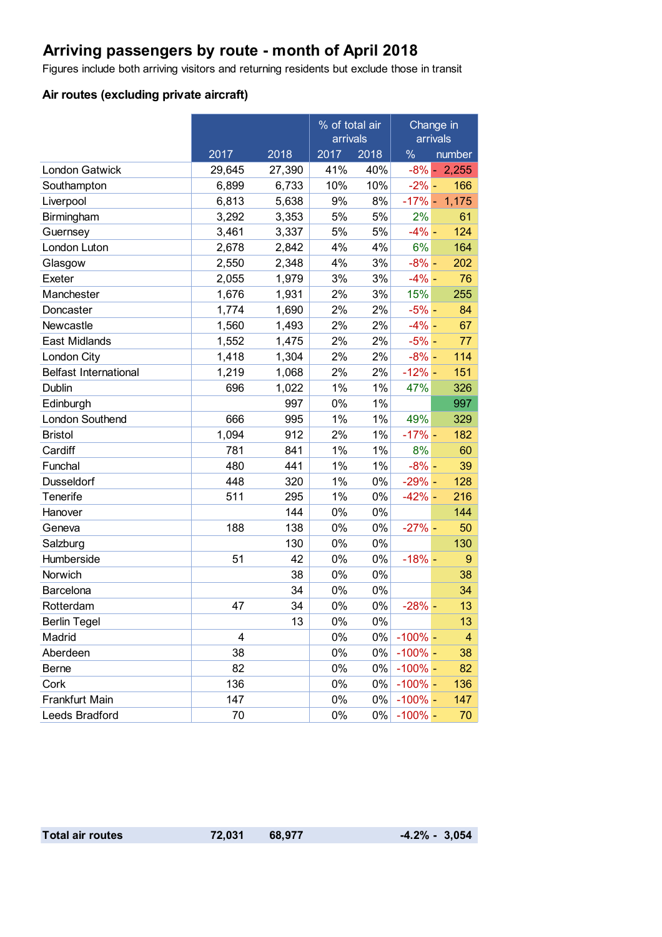### **Arriving passengers by route - month of April 2018**

Figures include both arriving visitors and returning residents but exclude those in transit

### **Air routes (excluding private aircraft)**

|                              |        |        | % of total air<br>arrivals |       | Change in<br>arrivals |                |
|------------------------------|--------|--------|----------------------------|-------|-----------------------|----------------|
|                              | 2017   | 2018   | 2017                       | 2018  | $\frac{0}{0}$         | number         |
| <b>London Gatwick</b>        | 29,645 | 27,390 | 41%                        | 40%   |                       | $-8\% - 2,255$ |
| Southampton                  | 6,899  | 6,733  | 10%                        | 10%   | $-2\%$ -              | 166            |
| Liverpool                    | 6,813  | 5,638  | 9%                         | 8%    | $-17%$ -              | 1,175          |
| Birmingham                   | 3,292  | 3,353  | 5%                         | 5%    | 2%                    | 61             |
| Guernsey                     | 3,461  | 3,337  | 5%                         | 5%    | $-4%$ -               | 124            |
| London Luton                 | 2,678  | 2,842  | 4%                         | 4%    | 6%                    | 164            |
| Glasgow                      | 2,550  | 2,348  | 4%                         | 3%    | $-8\%$ -              | 202            |
| Exeter                       | 2,055  | 1,979  | 3%                         | 3%    | $-4% -$               | 76             |
| Manchester                   | 1,676  | 1,931  | 2%                         | 3%    | 15%                   | 255            |
| Doncaster                    | 1,774  | 1,690  | 2%                         | 2%    | $-5%$ -               | 84             |
| Newcastle                    | 1,560  | 1,493  | 2%                         | 2%    | $-4%$ -               | 67             |
| <b>East Midlands</b>         | 1,552  | 1,475  | 2%                         | 2%    | $-5%$ -               | 77             |
| London City                  | 1,418  | 1,304  | 2%                         | 2%    | $-8\%$ -              | 114            |
| <b>Belfast International</b> | 1,219  | 1,068  | 2%                         | 2%    | $-12% -$              | 151            |
| Dublin                       | 696    | 1,022  | 1%                         | 1%    | 47%                   | 326            |
| Edinburgh                    |        | 997    | 0%                         | 1%    |                       | 997            |
| London Southend              | 666    | 995    | 1%                         | 1%    | 49%                   | 329            |
| <b>Bristol</b>               | 1,094  | 912    | 2%                         | 1%    | $-17%$ -              | 182            |
| Cardiff                      | 781    | 841    | 1%                         | 1%    | 8%                    | 60             |
| Funchal                      | 480    | 441    | 1%                         | $1\%$ | $-8\%$ -              | 39             |
| <b>Dusseldorf</b>            | 448    | 320    | 1%                         | 0%    | $-29% -$              | 128            |
| Tenerife                     | 511    | 295    | 1%                         | 0%    | $-42% -$              | 216            |
| Hanover                      |        | 144    | 0%                         | 0%    |                       | 144            |
| Geneva                       | 188    | 138    | 0%                         | 0%    | $-27%$ -              | 50             |
| Salzburg                     |        | 130    | 0%                         | 0%    |                       | 130            |
| Humberside                   | 51     | 42     | 0%                         | $0\%$ | $-18%$                | 9              |
| Norwich                      |        | 38     | 0%                         | 0%    |                       | 38             |
| Barcelona                    |        | 34     | 0%                         | 0%    |                       | 34             |
| Rotterdam                    | 47     | 34     | 0%                         | 0%    | $-28%$ -              | 13             |
| <b>Berlin Tegel</b>          |        | 13     | 0%                         | 0%    |                       | 13             |
| Madrid                       | 4      |        | 0%                         | $0\%$ | $-100\%$ –            | 4              |
| Aberdeen                     | 38     |        | 0%                         | 0%    | $-100\%$ -            | 38             |
| Berne                        | 82     |        | 0%                         | 0%    | $-100\%$ –            | 82             |
| Cork                         | 136    |        | 0%                         | $0\%$ | $-100\%$ -            | 136            |
| Frankfurt Main               | 147    |        | 0%                         | 0%    | $-100\%$ –            | 147            |
| Leeds Bradford               | 70     |        | 0%                         | $0\%$ | $-100\%$ -            | 70             |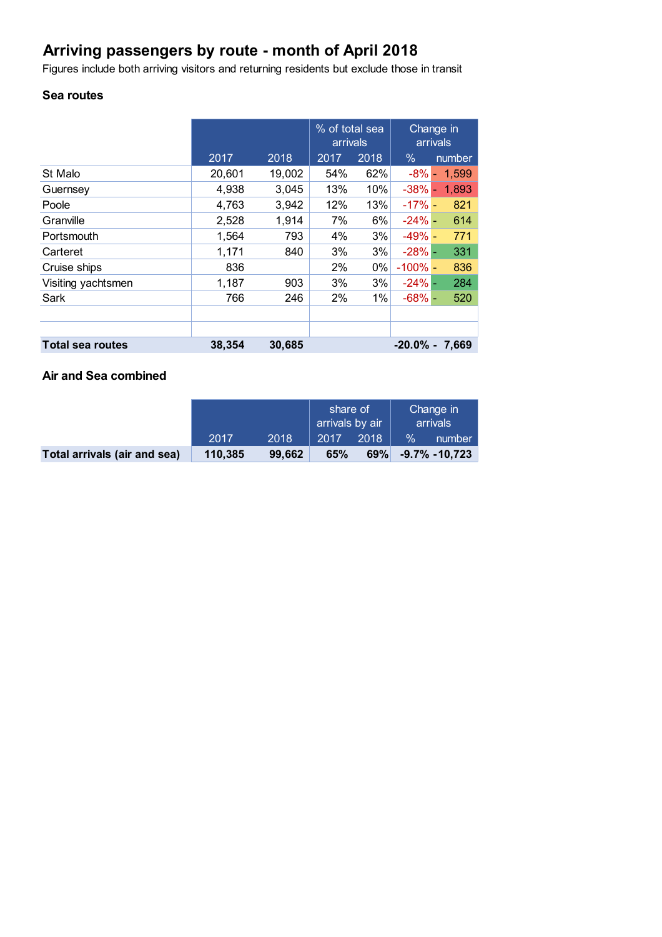# **Arriving passengers by route - month of April 2018**

Figures include both arriving visitors and returning residents but exclude those in transit

#### **Sea routes**

|                         |        |        | % of total sea<br>arrivals |       | Change in<br>arrivals |                   |
|-------------------------|--------|--------|----------------------------|-------|-----------------------|-------------------|
|                         | 2017   | 2018   | 2017                       | 2018  | $\%$                  | number            |
| St Malo                 | 20,601 | 19,002 | 54%                        | 62%   | $-8\%$ -              | 1,599             |
| Guernsey                | 4,938  | 3,045  | 13%                        | 10%   | $-38%$ -              | 1,893             |
| Poole                   | 4,763  | 3,942  | 12%                        | 13%   | $-17%$                | 821               |
| Granville               | 2,528  | 1,914  | 7%                         | 6%    | $-24%$ -              | 614               |
| Portsmouth              | 1,564  | 793    | 4%                         | 3%    | $-49%$ -              | 771               |
| Carteret                | 1,171  | 840    | 3%                         | 3%    | $-28%$ -              | 331               |
| Cruise ships            | 836    |        | 2%                         | $0\%$ | $-100\%$ –            | 836               |
| Visiting yachtsmen      | 1,187  | 903    | 3%                         | 3%    | $-24\%$ -             | 284               |
| Sark                    | 766    | 246    | 2%                         | 1%    | $-68\%$ -             | 520               |
|                         |        |        |                            |       |                       |                   |
|                         |        |        |                            |       |                       |                   |
| <b>Total sea routes</b> | 38,354 | 30,685 |                            |       |                       | $-20.0\% - 7.669$ |

#### **Air and Sea combined**

|                              |         |        | share of<br>arrivals by air |      | Change in<br>arrivals |                  |
|------------------------------|---------|--------|-----------------------------|------|-----------------------|------------------|
|                              | 2017    | 2018   | 2017                        | 2018 | $\frac{1}{2}$         | number           |
| Total arrivals (air and sea) | 110,385 | 99.662 | 65%                         | 69%  |                       | $-9.7\% -10.723$ |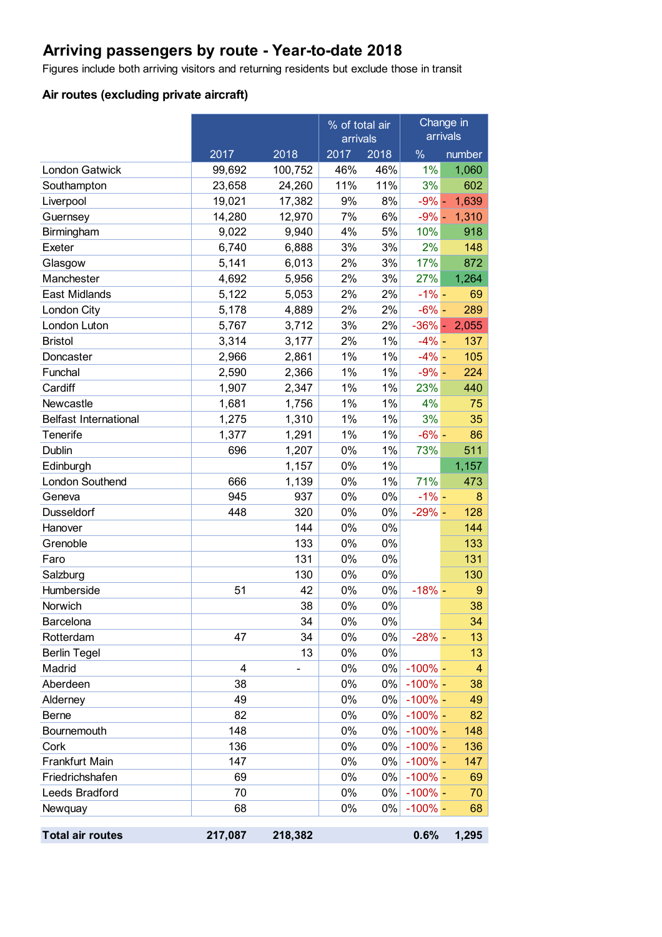# **Arriving passengers by route - Year-to-date 2018**

Figures include both arriving visitors and returning residents but exclude those in transit

### **Air routes (excluding private aircraft)**

|                              |         |         | % of total air<br>arrivals |       | Change in<br>arrivals |                |
|------------------------------|---------|---------|----------------------------|-------|-----------------------|----------------|
|                              | 2017    | 2018    | 2017<br>2018               |       | $\frac{0}{0}$         | number         |
| <b>London Gatwick</b>        | 99,692  | 100,752 | 46%                        | 46%   | 1%                    | 1,060          |
| Southampton                  | 23,658  | 24,260  | 11%                        | 11%   | 3%                    | 602            |
| Liverpool                    | 19,021  | 17,382  | 9%                         | 8%    | $-9\%$ -              | 1,639          |
| Guernsey                     | 14,280  | 12,970  | 7%                         | 6%    |                       | $-9\% - 1,310$ |
| Birmingham                   | 9,022   | 9,940   | 4%                         | 5%    | 10%                   | 918            |
| Exeter                       | 6,740   | 6,888   | 3%                         | 3%    | 2%                    | 148            |
| Glasgow                      | 5,141   | 6,013   | 2%                         | 3%    | 17%                   | 872            |
| Manchester                   | 4,692   | 5,956   | 2%                         | 3%    | 27%                   | 1,264          |
| East Midlands                | 5,122   | 5,053   | 2%                         | 2%    | $-1\%$ –              | 69             |
| London City                  | 5,178   | 4,889   | 2%                         | 2%    | $-6\% -$              | 289            |
| London Luton                 | 5,767   | 3,712   | 3%                         | 2%    | $-36\%$ -             | 2,055          |
| <b>Bristol</b>               | 3,314   | 3,177   | 2%                         | 1%    | $-4%$ -               | 137            |
| Doncaster                    | 2,966   | 2,861   | 1%                         | 1%    | $-4% -$               | 105            |
| Funchal                      | 2,590   | 2,366   | 1%                         | $1\%$ | $-9\%$ -              | 224            |
| Cardiff                      | 1,907   | 2,347   | 1%                         | 1%    | 23%                   | 440            |
| Newcastle                    | 1,681   | 1,756   | 1%                         | 1%    | 4%                    | 75             |
| <b>Belfast International</b> | 1,275   | 1,310   | 1%                         | 1%    | 3%                    | 35             |
| Tenerife                     | 1,377   | 1,291   | 1%                         | 1%    | $-6% -$               | 86             |
| Dublin                       | 696     | 1,207   | 0%                         | 1%    | 73%                   | 511            |
| Edinburgh                    |         | 1,157   | 0%                         | $1\%$ |                       | 1,157          |
| London Southend              | 666     | 1,139   | 0%                         | 1%    | 71%                   | 473            |
| Geneva                       | 945     | 937     | 0%                         | 0%    | $-1\% -$              | 8              |
| <b>Dusseldorf</b>            | 448     | 320     | 0%                         | 0%    | $-29%$ -              | 128            |
| Hanover                      |         | 144     | 0%                         | 0%    |                       | 144            |
| Grenoble                     |         | 133     | 0%                         | 0%    |                       | 133            |
| Faro                         |         | 131     | 0%                         | $0\%$ |                       | 131            |
| Salzburg                     |         | 130     | 0%                         | 0%    |                       | 130            |
| Humberside                   | 51      | 42      | 0%                         | 0%    | $-18%$                | $9\,$          |
| Norwich                      |         | 38      | 0%                         | 0%    |                       | 38             |
| Barcelona                    |         | 34      | 0%                         | 0%    |                       | 34             |
| Rotterdam                    | 47      | 34      | 0%                         | 0%    | $-28%$ –              | 13             |
| <b>Berlin Tegel</b>          |         | 13      | 0%                         | 0%    |                       | 13             |
| Madrid                       | 4       |         | 0%                         | 0%    | $-100\%$ -            | 4              |
| Aberdeen                     | 38      |         | 0%                         | 0%    | $-100\%$ –            | 38             |
| Alderney                     | 49      |         | 0%                         | 0%    | $-100\%$ –            | 49             |
| Berne                        | 82      |         | 0%                         | 0%    | $-100\%$ -            | 82             |
| Bournemouth                  | 148     |         | 0%                         | 0%    | $-100\%$ –            | 148            |
| Cork                         | 136     |         | 0%                         | $0\%$ | $-100\%$ –            | 136            |
| Frankfurt Main               | 147     |         | 0%                         | 0%    | $-100\%$ -            | 147            |
| Friedrichshafen              | 69      |         | 0%                         | 0%    | $-100\%$ –            | 69             |
| Leeds Bradford               | 70      |         | 0%                         | 0%    | $-100\%$ –            | 70             |
| Newquay                      | 68      |         | 0%                         | 0%    | $-100\%$ –            | 68             |
| <b>Total air routes</b>      | 217,087 | 218,382 |                            |       | 0.6%                  | 1,295          |